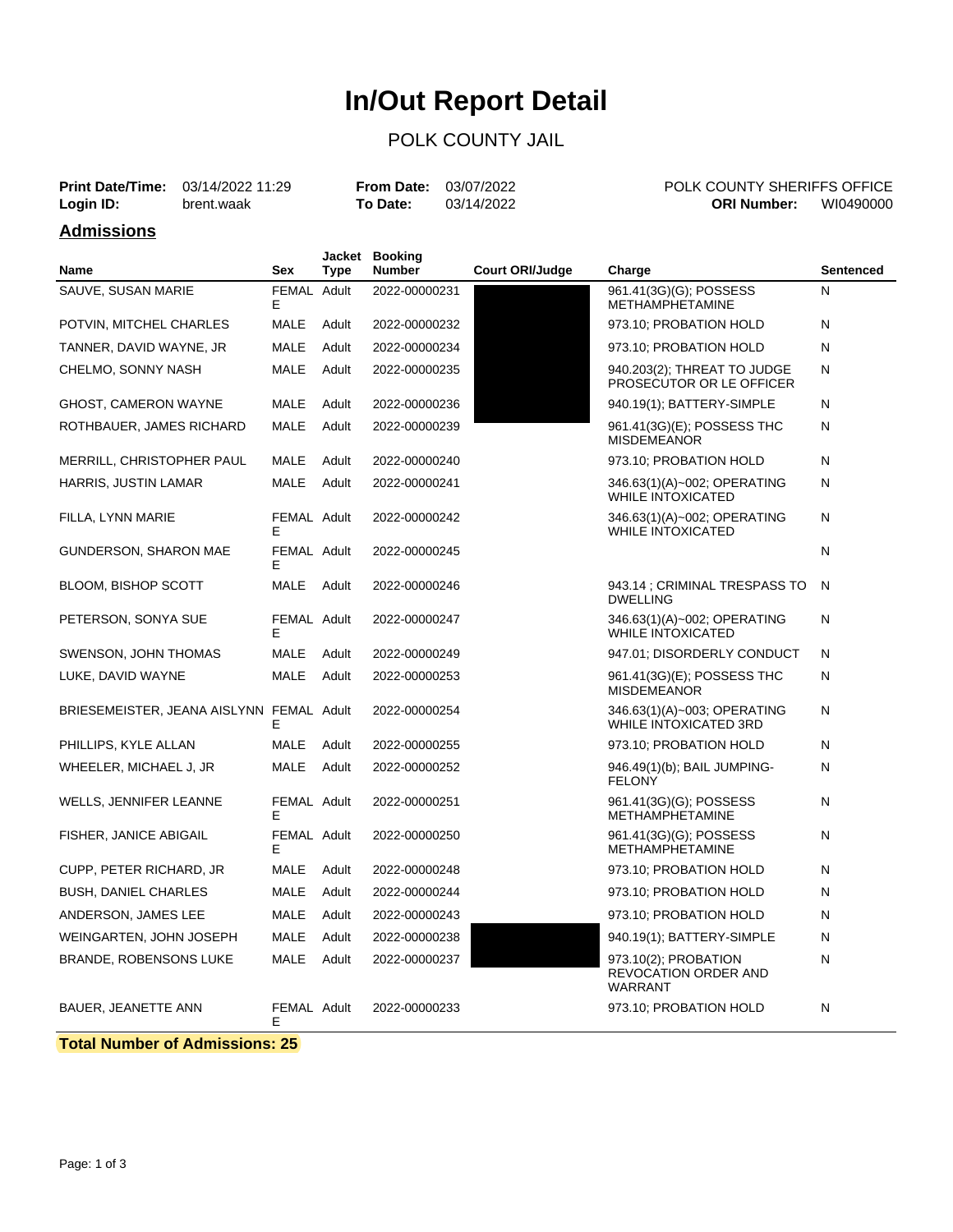# **In/Out Report Detail**

#### POLK COUNTY JAIL

|                   | <b>Print Date/Time:</b> 03/14/2022 11:29 | <b>From Date: 03/07/2022</b> |            | POLK COUNTY SHERIFFS OFFICE |           |
|-------------------|------------------------------------------|------------------------------|------------|-----------------------------|-----------|
| Login ID:         | brent.waak                               | To Date:                     | 03/14/2022 | ORI Number:                 | WI0490000 |
| <b>Admissions</b> |                                          |                              |            |                             |           |

| <b>Name</b>                              | <b>Sex</b>        | Jacket<br><b>Type</b> | <b>Booking</b><br><b>Number</b> | <b>Court ORI/Judge</b> | Charge                                                                | <b>Sentenced</b> |
|------------------------------------------|-------------------|-----------------------|---------------------------------|------------------------|-----------------------------------------------------------------------|------------------|
| SAUVE, SUSAN MARIE                       | FEMAL<br>E        | Adult                 | 2022-00000231                   |                        | 961.41(3G)(G); POSSESS<br><b>METHAMPHETAMINE</b>                      | N                |
| POTVIN, MITCHEL CHARLES                  | MALE              | Adult                 | 2022-00000232                   |                        | 973.10; PROBATION HOLD                                                | N                |
| TANNER, DAVID WAYNE, JR                  | MALE              | Adult                 | 2022-00000234                   |                        | 973.10; PROBATION HOLD                                                | N                |
| CHELMO, SONNY NASH                       | MALE              | Adult                 | 2022-00000235                   |                        | 940.203(2); THREAT TO JUDGE<br>PROSECUTOR OR LE OFFICER               | N                |
| <b>GHOST, CAMERON WAYNE</b>              | <b>MALE</b>       | Adult                 | 2022-00000236                   |                        | 940.19(1); BATTERY-SIMPLE                                             | N                |
| ROTHBAUER, JAMES RICHARD                 | MALE              | Adult                 | 2022-00000239                   |                        | 961.41(3G)(E); POSSESS THC<br><b>MISDEMEANOR</b>                      | N                |
| MERRILL, CHRISTOPHER PAUL                | MALE              | Adult                 | 2022-00000240                   |                        | 973.10; PROBATION HOLD                                                | N                |
| HARRIS, JUSTIN LAMAR                     | <b>MALE</b>       | Adult                 | 2022-00000241                   |                        | 346.63(1)(A)~002; OPERATING<br><b>WHILE INTOXICATED</b>               | N                |
| FILLA, LYNN MARIE                        | FEMAL Adult<br>E  |                       | 2022-00000242                   |                        | 346.63(1)(A)~002; OPERATING<br><b>WHILE INTOXICATED</b>               | N                |
| GUNDERSON, SHARON MAE                    | FEMAL Adult<br>Е  |                       | 2022-00000245                   |                        |                                                                       | N                |
| <b>BLOOM, BISHOP SCOTT</b>               | <b>MALE</b>       | Adult                 | 2022-00000246                   |                        | 943.14 : CRIMINAL TRESPASS TO<br><b>DWELLING</b>                      | N                |
| PETERSON, SONYA SUE                      | FEMAL Adult<br>E  |                       | 2022-00000247                   |                        | 346.63(1)(A)~002; OPERATING<br><b>WHILE INTOXICATED</b>               | N                |
| SWENSON, JOHN THOMAS                     | <b>MALE</b>       | Adult                 | 2022-00000249                   |                        | 947.01; DISORDERLY CONDUCT                                            | N                |
| LUKE, DAVID WAYNE                        | MALE              | Adult                 | 2022-00000253                   |                        | 961.41(3G)(E); POSSESS THC<br><b>MISDEMEANOR</b>                      | N                |
| BRIESEMEISTER, JEANA AISLYNN FEMAL Adult | E                 |                       | 2022-00000254                   |                        | 346.63(1)(A)~003; OPERATING<br><b>WHILE INTOXICATED 3RD</b>           | N                |
| PHILLIPS, KYLE ALLAN                     | MALE              | Adult                 | 2022-00000255                   |                        | 973.10; PROBATION HOLD                                                | N                |
| WHEELER, MICHAEL J, JR                   | MALE              | Adult                 | 2022-00000252                   |                        | 946.49(1)(b); BAIL JUMPING-<br><b>FELONY</b>                          | N                |
| WELLS, JENNIFER LEANNE                   | FEMAL Adult<br>E  |                       | 2022-00000251                   |                        | 961.41(3G)(G); POSSESS<br><b>METHAMPHETAMINE</b>                      | N                |
| FISHER, JANICE ABIGAIL                   | FEMAL Adult<br>Е  |                       | 2022-00000250                   |                        | 961.41(3G)(G); POSSESS<br><b>METHAMPHETAMINE</b>                      | N                |
| CUPP, PETER RICHARD, JR                  | MALE              | Adult                 | 2022-00000248                   |                        | 973.10; PROBATION HOLD                                                | N                |
| <b>BUSH, DANIEL CHARLES</b>              | MALE              | Adult                 | 2022-00000244                   |                        | 973.10; PROBATION HOLD                                                | N                |
| ANDERSON, JAMES LEE                      | <b>MALE</b>       | Adult                 | 2022-00000243                   |                        | 973.10; PROBATION HOLD                                                | N                |
| WEINGARTEN, JOHN JOSEPH                  | MALE              | Adult                 | 2022-00000238                   |                        | 940.19(1); BATTERY-SIMPLE                                             | N                |
| BRANDE, ROBENSONS LUKE                   | MALE              | Adult                 | 2022-00000237                   |                        | 973.10(2); PROBATION<br><b>REVOCATION ORDER AND</b><br><b>WARRANT</b> | N                |
| <b>BAUER, JEANETTE ANN</b>               | FEMAL Adult<br>E. |                       | 2022-00000233                   |                        | 973.10; PROBATION HOLD                                                | N                |

**Total Number of Admissions: 25**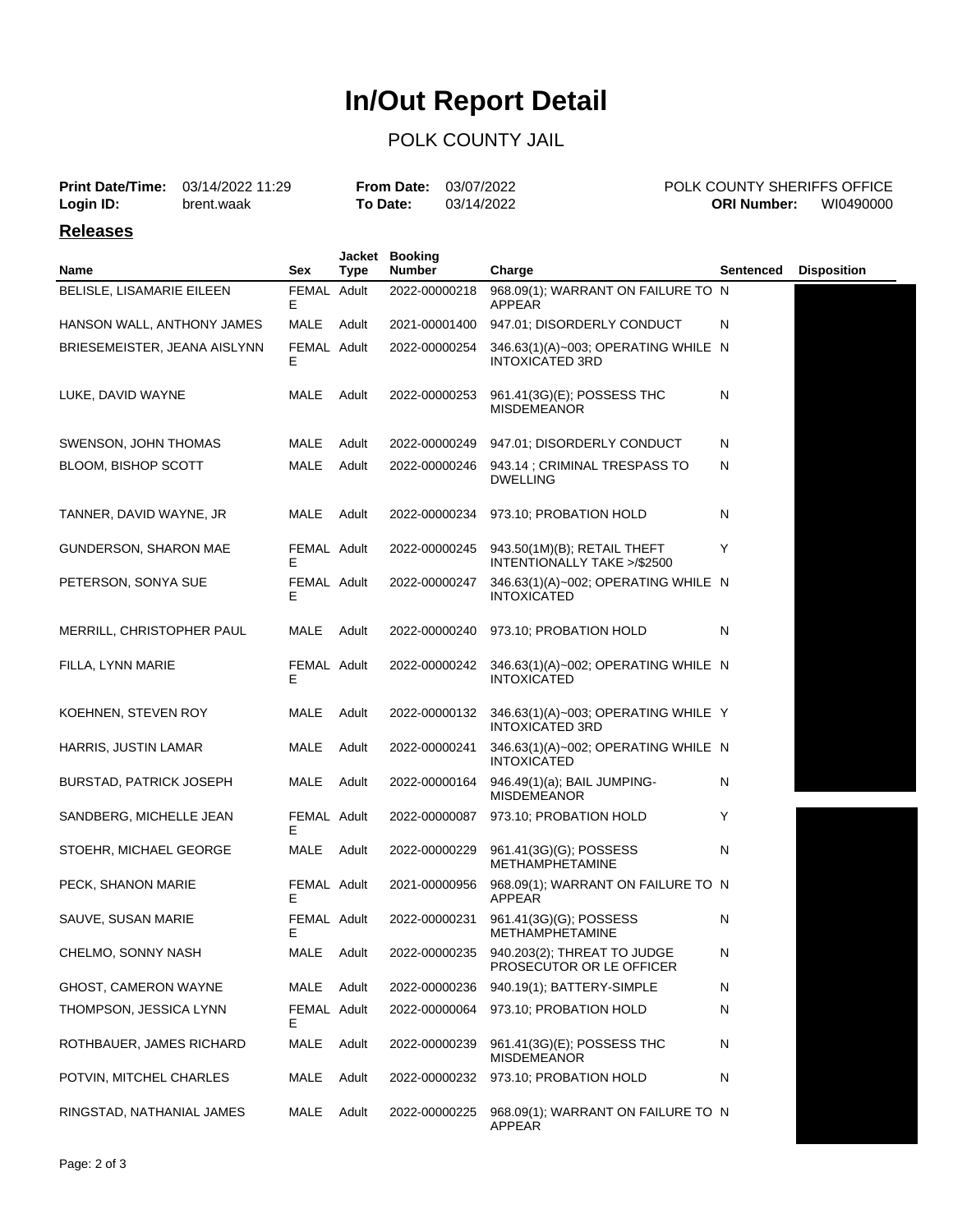# **In/Out Report Detail**

### POLK COUNTY JAIL

|           | <b>Print Date/Time:</b> 03/14/2022 11:29 | <b>From Date: 03/07/2022</b> |            | <b>POLK COUNTY SHERIFFS OFFICE</b> |           |
|-----------|------------------------------------------|------------------------------|------------|------------------------------------|-----------|
| Login ID: | brent.waak                               | <b>To Date:</b>              | 03/14/2022 | <b>ORI Number:</b>                 | WI0490000 |

#### **Releases**

| Name                           | Sex              | <b>Type</b> | Jacket Booking<br><b>Number</b> | Charge                                                                | <b>Sentenced</b> | <b>Disposition</b> |
|--------------------------------|------------------|-------------|---------------------------------|-----------------------------------------------------------------------|------------------|--------------------|
| BELISLE, LISAMARIE EILEEN      | FEMAL Adult<br>Е |             | 2022-00000218                   | 968.09(1); WARRANT ON FAILURE TO N<br>APPEAR                          |                  |                    |
| HANSON WALL, ANTHONY JAMES     | MALE             | Adult       | 2021-00001400                   | 947.01; DISORDERLY CONDUCT                                            | N                |                    |
| BRIESEMEISTER, JEANA AISLYNN   | FEMAL Adult<br>Е |             | 2022-00000254                   | 346.63(1)(A)~003; OPERATING WHILE N<br><b>INTOXICATED 3RD</b>         |                  |                    |
| LUKE, DAVID WAYNE              | MALE             | Adult       | 2022-00000253                   | 961.41(3G)(E); POSSESS THC<br><b>MISDEMEANOR</b>                      | N                |                    |
| SWENSON, JOHN THOMAS           | MALE             | Adult       | 2022-00000249                   | 947.01; DISORDERLY CONDUCT                                            | N                |                    |
| BLOOM, BISHOP SCOTT            | MALE             | Adult       | 2022-00000246                   | 943.14 ; CRIMINAL TRESPASS TO<br><b>DWELLING</b>                      | Ν                |                    |
| TANNER, DAVID WAYNE, JR        | MALE             | Adult       | 2022-00000234                   | 973.10; PROBATION HOLD                                                | N                |                    |
| GUNDERSON, SHARON MAE          | FEMAL Adult<br>F |             | 2022-00000245                   | 943.50(1M)(B); RETAIL THEFT<br>INTENTIONALLY TAKE >/\$2500            | Y                |                    |
| PETERSON, SONYA SUE            | FEMAL Adult<br>Е |             | 2022-00000247                   | 346.63(1)(A)~002; OPERATING WHILE N<br><b>INTOXICATED</b>             |                  |                    |
| MERRILL, CHRISTOPHER PAUL      | MALE             | Adult       | 2022-00000240                   | 973.10; PROBATION HOLD                                                | N                |                    |
| FILLA, LYNN MARIE              | FEMAL Adult<br>Е |             | 2022-00000242                   | 346.63(1)(A)~002; OPERATING WHILE N<br><b>INTOXICATED</b>             |                  |                    |
| KOEHNEN, STEVEN ROY            | MALE             | Adult       | 2022-00000132                   | 346.63(1)(A)~003; OPERATING WHILE Y<br><b>INTOXICATED 3RD</b>         |                  |                    |
| HARRIS, JUSTIN LAMAR           | MALE             | Adult       | 2022-00000241                   | 346.63(1)(A)~002; OPERATING WHILE N<br><b>INTOXICATED</b>             |                  |                    |
| <b>BURSTAD, PATRICK JOSEPH</b> | MALE             | Adult       | 2022-00000164                   | 946.49(1)(a); BAIL JUMPING-<br><b>MISDEMEANOR</b>                     | N                |                    |
| SANDBERG, MICHELLE JEAN        | FEMAL Adult<br>Е |             | 2022-00000087                   | 973.10; PROBATION HOLD                                                | Y                |                    |
| STOEHR, MICHAEL GEORGE         | MALE             | Adult       | 2022-00000229                   | 961.41(3G)(G); POSSESS<br><b>METHAMPHETAMINE</b>                      | N                |                    |
| PECK, SHANON MARIE             | FEMAL Adult<br>Е |             | 2021-00000956                   | 968.09(1); WARRANT ON FAILURE TO N<br>APPEAR                          |                  |                    |
| SAUVE, SUSAN MARIE             | FEMAL Adult<br>Ε |             | 2022-00000231                   | 961.41(3G)(G); POSSESS<br><b>METHAMPHETAMINE</b>                      | N                |                    |
| CHELMO, SONNY NASH             | MALE             | Adult       |                                 | 2022-00000235 940.203(2); THREAT TO JUDGE<br>PROSECUTOR OR LE OFFICER | N                |                    |
| GHOST, CAMERON WAYNE           | MALE             | Adult       | 2022-00000236                   | 940.19(1); BATTERY-SIMPLE                                             | N                |                    |
| THOMPSON, JESSICA LYNN         | FEMAL Adult<br>Е |             | 2022-00000064                   | 973.10; PROBATION HOLD                                                | N                |                    |
| ROTHBAUER, JAMES RICHARD       | MALE             | Adult       | 2022-00000239                   | 961.41(3G)(E); POSSESS THC<br><b>MISDEMEANOR</b>                      | N                |                    |
| POTVIN, MITCHEL CHARLES        | MALE             | Adult       | 2022-00000232                   | 973.10; PROBATION HOLD                                                | N                |                    |
| RINGSTAD, NATHANIAL JAMES      | MALE             | Adult       | 2022-00000225                   | 968.09(1); WARRANT ON FAILURE TO N<br>APPEAR                          |                  |                    |